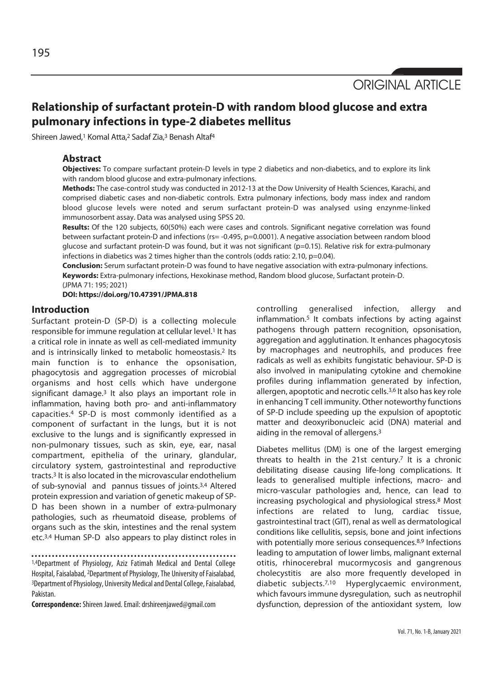ORIGINAL ARTICLE

# **Relationship of surfactant protein-D with random blood glucose and extra pulmonary infections in type-2 diabetes mellitus**

Shireen Jawed,<sup>1</sup> Komal Atta,<sup>2</sup> Sadaf Zia,<sup>3</sup> Benash Altaf<sup>4</sup>

## **Abstract**

**Objectives:** To compare surfactant protein-D levels in type 2 diabetics and non-diabetics, and to explore its link with random blood glucose and extra-pulmonary infections.

**Methods:** The case-control study was conducted in 2012-13 at the Dow University of Health Sciences, Karachi, and comprised diabetic cases and non-diabetic controls. Extra pulmonary infections, body mass index and random blood glucose levels were noted and serum surfactant protein-D was analysed using enzynme-linked immunosorbent assay. Data was analysed using SPSS 20.

**Results:** Of the 120 subjects, 60(50%) each were cases and controls. Significant negative correlation was found between surfactant protein-D and infections (rs= -0.495, p=0.0001). A negative association between random blood glucose and surfactant protein-D was found, but it was not significant (p=0.15). Relative risk for extra-pulmonary infections in diabetics was 2 times higher than the controls (odds ratio: 2.10, p=0.04).

**Conclusion:** Serum surfactant protein-D was found to have negative association with extra-pulmonary infections. **Keywords:** Extra-pulmonary infections, Hexokinase method, Random blood glucose, Surfactant protein-D. (JPMA 71: 195; 2021)

**DOI: https://doi.org/10.47391/JPMA.818**

## **Introduction**

Surfactant protein-D (SP-D) is a collecting molecule responsible for immune regulation at cellular level.<sup>1</sup> It has a critical role in innate as well as cell-mediated immunity and is intrinsically linked to metabolic homeostasis.<sup>2</sup> Its main function is to enhance the opsonisation, phagocytosis and aggregation processes of microbial organisms and host cells which have undergone significant damage.<sup>3</sup> It also plays an important role in inflammation, having both pro- and anti-inflammatory capacities.4 SP-D is most commonly identified as a component of surfactant in the lungs, but it is not exclusive to the lungs and is significantly expressed in non-pulmonary tissues, such as skin, eye, ear, nasal compartment, epithelia of the urinary, glandular, circulatory system, gastrointestinal and reproductive tracts.3 It is also located in the microvascular endothelium of sub-synovial and pannus tissues of joints.3,4 Altered protein expression and variation of genetic makeup of SP-D has been shown in a number of extra-pulmonary pathologies, such as rheumatoid disease, problems of organs such as the skin, intestines and the renal system etc.3,4 Human SP-D also appears to play distinct roles in

1,4Department of Physiology, Aziz Fatimah Medical and Dental College Hospital, Faisalabad, 2Department of Physiology, The University of Faisalabad, 3Department of Physiology, University Medical and Dental College, Faisalabad, Pakistan.

**Correspondence:** Shireen Jawed. Email: drshireenjawed@gmail.com

controlling generalised infection, allergy and inflammation.5 It combats infections by acting against pathogens through pattern recognition, opsonisation, aggregation and agglutination. It enhances phagocytosis by macrophages and neutrophils, and produces free radicals as well as exhibits fungistatic behaviour. SP-D is also involved in manipulating cytokine and chemokine profiles during inflammation generated by infection, allergen, apoptotic and necrotic cells.3,6 It also has key role in enhancing T cell immunity. Other noteworthy functions of SP-D include speeding up the expulsion of apoptotic matter and deoxyribonucleic acid (DNA) material and aiding in the removal of allergens.3

Diabetes mellitus (DM) is one of the largest emerging threats to health in the 21st century.<sup>7</sup> It is a chronic debilitating disease causing life-long complications. It leads to generalised multiple infections, macro- and micro-vascular pathologies and, hence, can lead to increasing psychological and physiological stress.8 Most infections are related to lung, cardiac tissue, gastrointestinal tract (GIT), renal as well as dermatological conditions like cellulitis, sepsis, bone and joint infections with potentially more serious consequences.<sup>8,9</sup> Infections leading to amputation of lower limbs, malignant external otitis, rhinocerebral mucormycosis and gangrenous cholecystitis are also more frequently developed in diabetic subjects.7,10 Hyperglycaemic environment, which favours immune dysregulation, such as neutrophil dysfunction, depression of the antioxidant system, low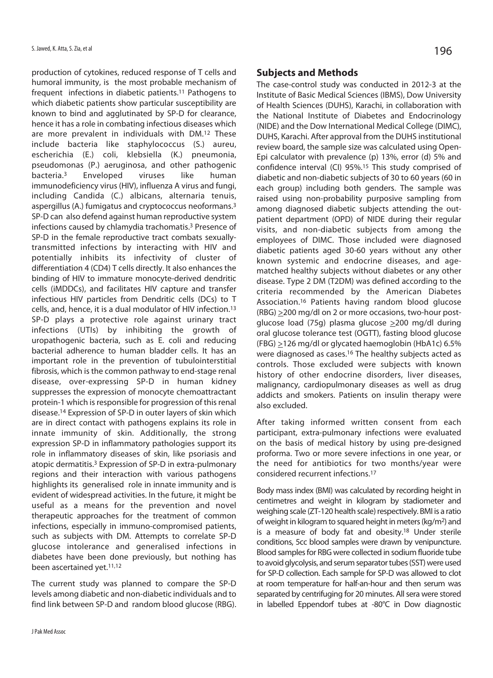production of cytokines, reduced response of T cells and humoral immunity, is the most probable mechanism of frequent infections in diabetic patients.11 Pathogens to which diabetic patients show particular susceptibility are known to bind and agglutinated by SP-D for clearance, hence it has a role in combating infectious diseases which are more prevalent in individuals with DM.12 These include bacteria like staphylococcus (S.) aureu, escherichia (E.) coli, klebsiella (K.) pneumonia, pseudomonas (P.) aeruginosa, and other pathogenic bacteria.3 Enveloped viruses like human immunodeficiency virus (HIV), influenza A virus and fungi, including Candida (C.) albicans, alternaria tenuis, aspergillus (A.) fumigatus and cryptococcus neoformans.3 SP-D can also defend against human reproductive system infections caused by chlamydia trachomatis.3 Presence of SP-D in the female reproductive tract combats sexuallytransmitted infections by interacting with HIV and potentially inhibits its infectivity of cluster of differentiation 4 (CD4) T cells directly. It also enhances the binding of HIV to immature monocyte-derived dendritic cells (iMDDCs), and facilitates HIV capture and transfer infectious HIV particles from Dendritic cells (DCs) to T cells, and, hence, it is a dual modulator of HIV infection.13 SP-D plays a protective role against urinary tract infections (UTIs) by inhibiting the growth of uropathogenic bacteria, such as E. coli and reducing bacterial adherence to human bladder cells. It has an important role in the prevention of tubulointerstitial fibrosis, which is the common pathway to end-stage renal disease, over-expressing SP-D in human kidney suppresses the expression of monocyte chemoattractant protein-1 which is responsible for progression of this renal disease.14 Expression of SP-D in outer layers of skin which are in direct contact with pathogens explains its role in innate immunity of skin. Additionally, the strong expression SP-D in inflammatory pathologies support its role in inflammatory diseases of skin, like psoriasis and atopic dermatitis.3 Expression of SP-D in extra-pulmonary regions and their interaction with various pathogens highlights its generalised role in innate immunity and is evident of widespread activities. In the future, it might be useful as a means for the prevention and novel therapeutic approaches for the treatment of common infections, especially in immuno-compromised patients, such as subjects with DM. Attempts to correlate SP-D glucose intolerance and generalised infections in diabetes have been done previously, but nothing has been ascertained yet.11,12

The current study was planned to compare the SP-D levels among diabetic and non-diabetic individuals and to find link between SP-D and random blood glucose (RBG).

## **Subjects and Methods**

The case-control study was conducted in 2012-3 at the Institute of Basic Medical Sciences (IBMS), Dow University of Health Sciences (DUHS), Karachi, in collaboration with the National Institute of Diabetes and Endocrinology (NIDE) and the Dow International Medical College (DIMC), DUHS, Karachi. After approval from the DUHS institutional review board, the sample size was calculated using Open-Epi calculator with prevalence (p) 13%, error (d) 5% and confidence interval (CI) 95%.15 This study comprised of diabetic and non-diabetic subjects of 30 to 60 years (60 in each group) including both genders. The sample was raised using non-probability purposive sampling from among diagnosed diabetic subjects attending the outpatient department (OPD) of NIDE during their regular visits, and non-diabetic subjects from among the employees of DIMC. Those included were diagnosed diabetic patients aged 30-60 years without any other known systemic and endocrine diseases, and agematched healthy subjects without diabetes or any other disease. Type 2 DM (T2DM) was defined according to the criteria recommended by the American Diabetes Association.16 Patients having random blood glucose (RBG) >200 mg/dl on 2 or more occasions, two-hour postglucose load (75g) plasma glucose >200 mg/dl during oral glucose tolerance test (OGTT), fasting blood glucose  $(FBG) \geq 126$  mg/dl or glycated haemoglobin (HbA1c) 6.5% were diagnosed as cases.16 The healthy subjects acted as controls. Those excluded were subjects with known history of other endocrine disorders, liver diseases, malignancy, cardiopulmonary diseases as well as drug addicts and smokers. Patients on insulin therapy were also excluded.

After taking informed written consent from each participant, extra-pulmonary infections were evaluated on the basis of medical history by using pre-designed proforma. Two or more severe infections in one year, or the need for antibiotics for two months/year were considered recurrent infections.17

Body mass index (BMI) was calculated by recording height in centimetres and weight in kilogram by stadiometer and weighing scale (ZT-120 health scale) respectively. BMI is a ratio of weight in kilogram to squared height in meters (kg/m2) and is a measure of body fat and obesity.18 Under sterile conditions, 5cc blood samples were drawn by venipuncture. Blood samples for RBG were collected in sodium fluoride tube to avoid glycolysis, and serum separator tubes (SST) were used for SP-D collection. Each sample for SP-D was allowed to clot at room temperature for half-an-hour and then serum was separated by centrifuging for 20 minutes. All sera were stored in labelled Eppendorf tubes at -80°C in Dow diagnostic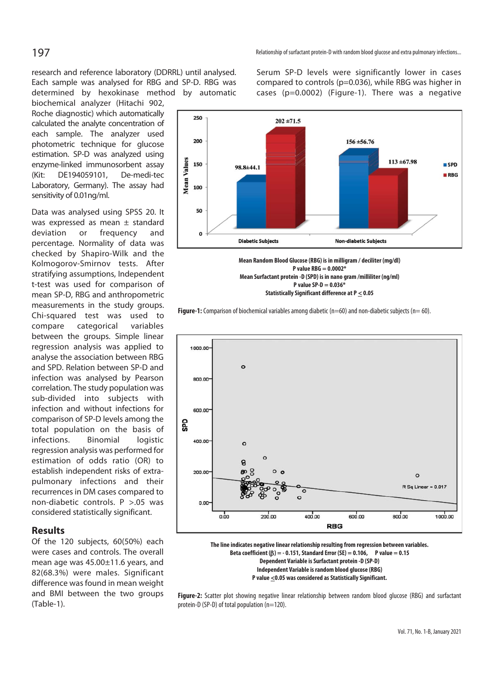research and reference laboratory (DDRRL) until analysed. Each sample was analysed for RBG and SP-D. RBG was determined by hexokinase method by automatic

biochemical analyzer (Hitachi 902, Roche diagnostic) which automatically calculated the analyte concentration of each sample. The analyzer used photometric technique for glucose estimation. SP-D was analyzed using enzyme-linked immunosorbent assay (Kit: DE194059101, De-medi-tec Laboratory, Germany). The assay had sensitivity of 0.01ng/ml.

Data was analysed using SPSS 20. It was expressed as mean ± standard deviation or frequency and percentage. Normality of data was checked by Shapiro-Wilk and the Kolmogorov-Smirnov tests. After stratifying assumptions, Independent t-test was used for comparison of mean SP-D, RBG and anthropometric measurements in the study groups. Chi-squared test was used to compare categorical variables between the groups. Simple linear regression analysis was applied to analyse the association between RBG and SPD. Relation between SP-D and infection was analysed by Pearson correlation. The study population was sub-divided into subjects with infection and without infections for comparison of SP-D levels among the total population on the basis of infections. Binomial logistic regression analysis was performed for estimation of odds ratio (OR) to establish independent risks of extrapulmonary infections and their recurrences in DM cases compared to non-diabetic controls. P >.05 was considered statistically significant.

### **Results**

Of the 120 subjects, 60(50%) each were cases and controls. The overall mean age was 45.00±11.6 years, and 82(68.3%) were males. Significant difference was found in mean weight and BMI between the two groups (Table-1).

Serum SP-D levels were significantly lower in cases compared to controls (p=0.036), while RBG was higher in cases (p=0.0002) (Figure-1). There was a negative



**P value RBG = 0.0002\* Mean Surfactant protein -D (SPD) is in nano gram /milliliter (ng/ml) P value SP-D = 0.036\* Statistically Significant difference at P < 0.05** 





**The line indicates negative linear relationship resulting from regression between variables. Beta coefficient (**β**) = - 0.151, Standard Error (SE) = 0.106, P value = 0.15 Dependent Variable is Surfactant protein -D (SP-D) Independent Variable is random blood glucose (RBG) P value <0.05 was considered as Statistically Significant.** 

**Figure-2:** Scatter plot showing negative linear relationship between random blood glucose (RBG) and surfactant protein-D (SP-D) of total population (n=120).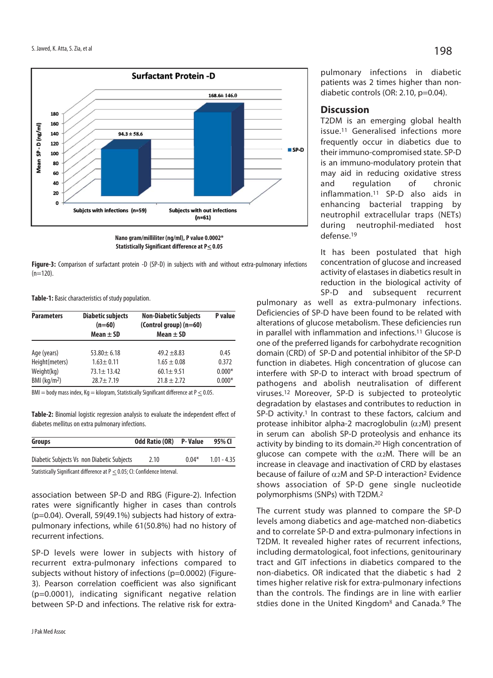

**Figure-3:** Comparison of surfactant protein -D (SP-D) in subjects with and without extra-pulmonary infections  $(n=120)$ .

**Table-1:** Basic characteristics of study population.

| <b>Parameters</b> | <b>Diabetic subjects</b><br>$(n=60)$<br>Mean $\pm$ SD | <b>Non-Diabetic Subjects</b><br>(Control group) $(n=60)$<br>Mean $\pm$ SD | P value  |
|-------------------|-------------------------------------------------------|---------------------------------------------------------------------------|----------|
| Age (years)       | $53.80 + 6.18$                                        | $49.2 + 8.83$                                                             | 0.45     |
| Height(meters)    | $1.63 \pm 0.11$                                       | $1.65 \pm 0.08$                                                           | 0.372    |
| Weight(kg)        | $73.1 \pm 13.42$                                      | $60.1 \pm 9.51$                                                           | $0.000*$ |
| BMI ( $kg/m2$ )   | $28.7 \pm 7.19$                                       | $21.8 \pm 2.72$                                                           | $0.000*$ |

 $BMI = body$  mass index,  $Kq = kilogram$ , Statistically Significant difference at  $P \le 0.05$ .

**Table-2:** Binomial logistic regression analysis to evaluate the independent effect of diabetes mellitus on extra pulmonary infections.

| Groups                                                                    | <b>Odd Ratio (OR) P- Value</b> |         | 95% CI        |
|---------------------------------------------------------------------------|--------------------------------|---------|---------------|
| Diabetic Subjects Vs non Diabetic Subjects                                | 2.10                           | $0.04*$ | $1.01 - 4.35$ |
| Statistically Significant difference at P < 0.05; CI: Confidence Interval |                                |         |               |

ally Significant difference at P  $<$  0.05; CI: Confidence Interval.

association between SP-D and RBG (Figure-2). Infection rates were significantly higher in cases than controls (p=0.04). Overall, 59(49.1%) subjects had history of extrapulmonary infections, while 61(50.8%) had no history of recurrent infections.

SP-D levels were lower in subjects with history of recurrent extra-pulmonary infections compared to subjects without history of infections (p=0.0002) (Figure-3). Pearson correlation coefficient was also significant (p=0.0001), indicating significant negative relation between SP-D and infections. The relative risk for extrapulmonary infections in diabetic patients was 2 times higher than nondiabetic controls (OR: 2.10, p=0.04).

#### **Discussion**

T2DM is an emerging global health issue.11 Generalised infections more frequently occur in diabetics due to their immuno-compromised state. SP-D is an immuno-modulatory protein that may aid in reducing oxidative stress and regulation of chronic inflammation.11 SP-D also aids in enhancing bacterial trapping by neutrophil extracellular traps (NETs) during neutrophil-mediated host defense.19

It has been postulated that high concentration of glucose and increased activity of elastases in diabetics result in reduction in the biological activity of SP-D and subsequent recurrent

pulmonary as well as extra-pulmonary infections. Deficiencies of SP-D have been found to be related with alterations of glucose metabolism. These deficiencies run in parallel with inflammation and infections.11 Glucose is one of the preferred ligands for carbohydrate recognition domain (CRD) of SP-D and potential inhibitor of the SP-D function in diabetes. High concentration of glucose can interfere with SP-D to interact with broad spectrum of pathogens and abolish neutralisation of different viruses.12 Moreover, SP-D is subjected to proteolytic degradation by elastases and contributes to reduction in SP-D activity.<sup>1</sup> In contrast to these factors, calcium and protease inhibitor alpha-2 macroglobulin (α2M) present in serum can abolish SP-D proteolysis and enhance its activity by binding to its domain.20 High concentration of glucose can compete with the  $\alpha$ <sub>2</sub>M. There will be an increase in cleavage and inactivation of CRD by elastases because of failure of  $\alpha$ 2M and SP-D interaction<sup>2</sup> Evidence shows association of SP-D gene single nucleotide polymorphisms (SNPs) with T2DM.2

The current study was planned to compare the SP-D levels among diabetics and age-matched non-diabetics and to correlate SP-D and extra-pulmonary infections in T2DM. It revealed higher rates of recurrent infections, including dermatological, foot infections, genitourinary tract and GIT infections in diabetics compared to the non-diabetics. OR indicated that the diabetic s had 2 times higher relative risk for extra-pulmonary infections than the controls. The findings are in line with earlier stdies done in the United Kingdom<sup>8</sup> and Canada.<sup>9</sup> The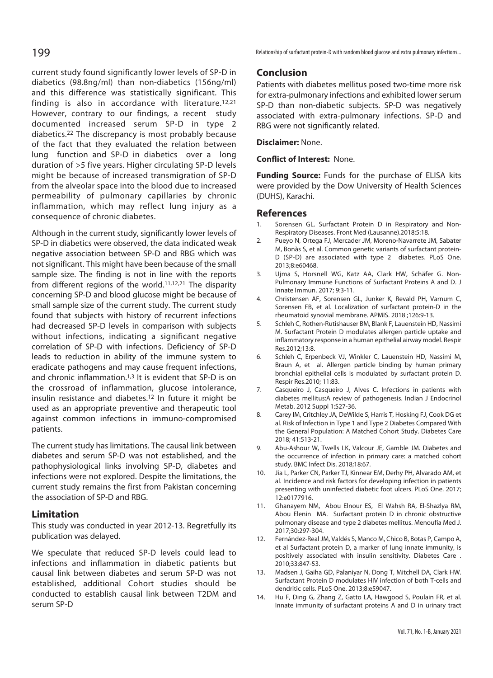current study found significantly lower levels of SP-D in diabetics (98.8ng/ml) than non-diabetics (156ng/ml) and this difference was statistically significant. This finding is also in accordance with literature.<sup>12,21</sup> However, contrary to our findings, a recent study documented increased serum SP-D in type 2 diabetics.22 The discrepancy is most probably because of the fact that they evaluated the relation between lung function and SP-D in diabetics over a long duration of >5 five years. Higher circulating SP-D levels might be because of increased transmigration of SP-D from the alveolar space into the blood due to increased permeability of pulmonary capillaries by chronic inflammation, which may reflect lung injury as a consequence of chronic diabetes.

Although in the current study, significantly lower levels of SP-D in diabetics were observed, the data indicated weak negative association between SP-D and RBG which was not significant. This might have been because of the small sample size. The finding is not in line with the reports from different regions of the world.11,12,21 The disparity concerning SP-D and blood glucose might be because of small sample size of the current study. The current study found that subjects with history of recurrent infections had decreased SP-D levels in comparison with subjects without infections, indicating a significant negative correlation of SP-D with infections. Deficiency of SP-D leads to reduction in ability of the immune system to eradicate pathogens and may cause frequent infections, and chronic inflammation.<sup>1,3</sup> It is evident that SP-D is on the crossroad of inflammation, glucose intolerance, insulin resistance and diabetes.12 In future it might be used as an appropriate preventive and therapeutic tool against common infections in immuno-compromised patients.

The current study has limitations. The causal link between diabetes and serum SP-D was not established, and the pathophysiological links involving SP-D, diabetes and infections were not explored. Despite the limitations, the current study remains the first from Pakistan concerning the association of SP-D and RBG.

## **Limitation**

This study was conducted in year 2012-13. Regretfully its publication was delayed.

We speculate that reduced SP-D levels could lead to infections and inflammation in diabetic patients but causal link between diabetes and serum SP-D was not established, additional Cohort studies should be conducted to establish causal link between T2DM and serum SP-D

199 **Partionship of surfactant protein-D** with random blood glucose and extra pulmonary infections...

## **Conclusion**

Patients with diabetes mellitus posed two-time more risk for extra-pulmonary infections and exhibited lower serum SP-D than non-diabetic subjects. SP-D was negatively associated with extra-pulmonary infections. SP-D and RBG were not significantly related.

**Disclaimer:** None.

## **Conflict of Interest:** None.

**Funding Source:** Funds for the purchase of ELISA kits were provided by the Dow University of Health Sciences (DUHS), Karachi.

## **References**

- Sorensen GL. Surfactant Protein D in Respiratory and Non-Respiratory Diseases. Front Med (Lausanne).2018;5:18.
- 2. Pueyo N, Ortega FJ, Mercader JM, Moreno-Navarrete JM, Sabater M, Bonàs S, et al. Common genetic variants of surfactant protein-D (SP-D) are associated with type 2 diabetes. PLoS One. 2013;8:e60468.
- 3. Ujma S, Horsnell WG, Katz AA, Clark HW, Schäfer G. Non-Pulmonary Immune Functions of Surfactant Proteins A and D. J Innate Immun. 2017; 9:3-11.
- 4. Christensen AF, Sorensen GL, Junker K, Revald PH, Varnum C, Sorensen FB, et al. Localization of surfactant protein-D in the rheumatoid synovial membrane. APMIS. 2018 ;126:9-13.
- 5. Schleh C, Rothen-Rutishauser BM, Blank F, Lauenstein HD, Nassimi M. Surfactant Protein D modulates allergen particle uptake and inflammatory response in a human epithelial airway model. Respir Res.2012;13:8.
- 6. Schleh C, Erpenbeck VJ, Winkler C, Lauenstein HD, Nassimi M, Braun A, et al. Allergen particle binding by human primary bronchial epithelial cells is modulated by surfactant protein D. Respir Res.2010; 11:83.
- 7. Casqueiro J, Casqueiro J, Alves C. Infections in patients with diabetes mellitus:A review of pathogenesis. Indian J Endocrinol Metab. 2012 Suppl 1:S27-36.
- 8. Carey IM, Critchley JA, DeWilde S, Harris T, Hosking FJ, Cook DG et al. Risk of Infection in Type 1 and Type 2 Diabetes Compared With the General Population: A Matched Cohort Study. Diabetes Care 2018; 41:513-21.
- 9. Abu-Ashour W, Twells LK, Valcour JE, Gamble JM. Diabetes and the occurrence of infection in primary care: a matched cohort study. BMC Infect Dis. 2018;18:67.
- 10. Jia L, Parker CN, Parker TJ, Kinnear EM, Derhy PH, Alvarado AM, et al. Incidence and risk factors for developing infection in patients presenting with uninfected diabetic foot ulcers. PLoS One. 2017; 12:e0177916.
- 11. Ghanayem NM, Abou Elnour ES, El Wahsh RA, El-Shazlya RM, Abou Elenin MA. Surfactant protein D in chronic obstructive pulmonary disease and type 2 diabetes mellitus. Menoufia Med J. 2017;30:297-304.
- 12. Fernández-Real JM, Valdés S, Manco M, Chico B, Botas P, Campo A, et al Surfactant protein D, a marker of lung innate immunity, is positively associated with insulin sensitivity. Diabetes Care . 2010;33:847-53.
- 13. Madsen J, Gaiha GD, Palaniyar N, Dong T, Mitchell DA, Clark HW. Surfactant Protein D modulates HIV infection of both T-cells and dendritic cells. PLoS One. 2013;8:e59047.
- 14. Hu F, Ding G, Zhang Z, Gatto LA, Hawgood S, Poulain FR, et al. Innate immunity of surfactant proteins A and D in urinary tract